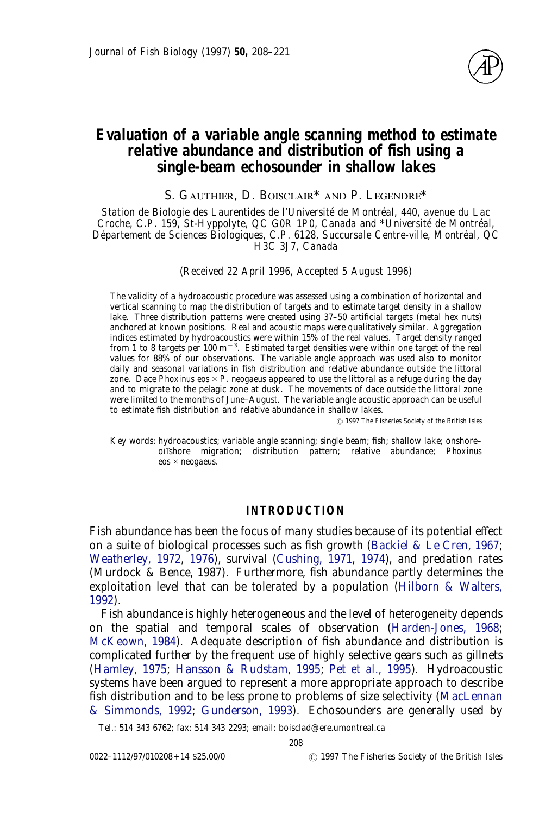

# **Evaluation of a variable angle scanning method to estimate relative abundance and distribution of fish using a single-beam echosounder in shallow lakes**

S. GAUTHIER, D. BOISCLAIR\* AND P. LEGENDRE\*

*Station de Biologie des Laurentides de l'Université de Montréal, 440, avenue du Lac Croche, C.P. 159, St-Hyppolyte, QC G0R 1P0, Canada and* \**Université de Montréal, Département de Sciences Biologiques, C.P. 6128, Succursale Centre-ville, Montréal, QC H3C 3J7, Canada*

(*Received 22 April 1996, Accepted 5 August 1996*)

The validity of a hydroacoustic procedure was assessed using a combination of horizontal and vertical scanning to map the distribution of targets and to estimate target density in a shallow lake. Three distribution patterns were created using 37–50 artificial targets (metal hex nuts) anchored at known positions. Real and acoustic maps were qualitatively similar. Aggregation indices estimated by hydroacoustics were within 15% of the real values. Target density ranged from 1 to 8 targets per 100 m<sup>-3</sup>. Estimated target densities were within one target of the real values for 88% of our observations. The variable angle approach was used also to monitor daily and seasonal variations in fish distribution and relative abundance outside the littoral zone. Dace *Phoxinus eos*  $\times$  *P. neogaeus* appeared to use the littoral as a refuge during the day and to migrate to the pelagic zone at dusk. The movements of dace outside the littoral zone were limited to the months of June–August. The variable angle acoustic approach can be useful to estimate fish distribution and relative abundance in shallow lakes.

? 1997 The Fisheries Society of the British Isles

Key words: hydroacoustics; variable angle scanning; single beam; fish; shallow lake; onshore– offshore migration; distribution pattern; relative abundance; *Phoxinus eos*#*neogaeus*.

# **INTRODUCTION**

Fish abundance has been the focus of many studies because of its potential effect on a suite of biological processes such as fish growth [\(Backiel & Le Cren, 1967;](#page-11-0) [Weatherley, 1972,](#page-13-0) [1976\)](#page-13-1), survival [\(Cushing, 1971,](#page-11-1) [1974\)](#page-11-2), and predation rates (Murdock & Bence, 1987). Furthermore, fish abundance partly determines the exploitation level that can be tolerated by a population [\(Hilborn & Walters,](#page-12-5) [1992\)](#page-12-5).

Fish abundance is highly heterogeneous and the level of heterogeneity depends on the spatial and temporal scales of observation [\(Harden-Jones, 1968;](#page-12-0) [McKeown, 1984\)](#page-12-1). Adequate description of fish abundance and distribution is complicated further by the frequent use of highly selective gears such as gillnets [\(Hamley, 1975;](#page-12-2) [Hansson & Rudstam, 1995;](#page-12-3) Pet *et al*[., 1995\)](#page-13-2). Hydroacoustic systems have been argued to represent a more appropriate approach to describe fish distribution and to be less prone to problems of size selectivity [\(MacLennan](#page-12-6) [& Simmonds, 1992;](#page-12-6) [Gunderson, 1993\)](#page-12-4). Echosounders are generally used by

Tel.: 514 343 6762; fax: 514 343 2293; email: boisclad@ere.umontreal.ca

208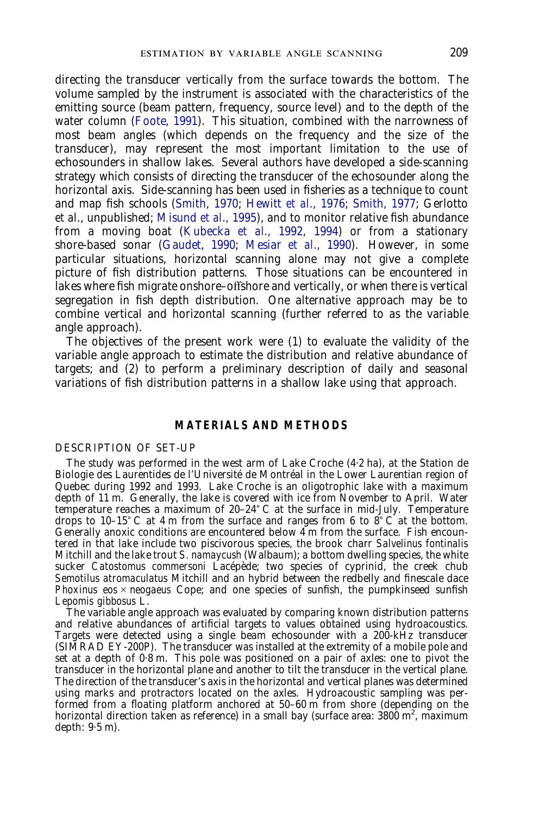directing the transducer vertically from the surface towards the bottom. The volume sampled by the instrument is associated with the characteristics of the emitting source (beam pattern, frequency, source level) and to the depth of the water column [\(Foote, 1991\)](#page-12-7). This situation, combined with the narrowness of most beam angles (which depends on the frequency and the size of the transducer), may represent the most important limitation to the use of echosounders in shallow lakes. Several authors have developed a side-scanning strategy which consists of directing the transducer of the echosounder along the horizontal axis. Side-scanning has been used in fisheries as a technique to count and map fish schools [\(Smith, 1970;](#page-13-3) Hewitt *et al*[., 1976;](#page-12-8) [Smith, 1977;](#page-13-4) Gerlotto *et al*., unpublished; [Misund](#page-12-9) *et al*., 1995), and to monitor relative fish abundance from a moving boat [\(Kubecka](#page-12-10) *et al*., 1992, [1994\)](#page-12-11) or from a stationary shore-based sonar [\(Gaudet, 1990;](#page-12-12) Mesiar *et al*[., 1990\)](#page-12-13). However, in some particular situations, horizontal scanning alone may not give a complete picture of fish distribution patterns. Those situations can be encountered in lakes where fish migrate onshore–offshore and vertically, or when there is vertical segregation in fish depth distribution. One alternative approach may be to combine vertical and horizontal scanning (further referred to as the variable angle approach).

The objectives of the present work were (1) to evaluate the validity of the variable angle approach to estimate the distribution and relative abundance of targets; and (2) to perform a preliminary description of daily and seasonal variations of fish distribution patterns in a shallow lake using that approach.

## **MATERIALS AND METHODS**

#### DESCRIPTION OF SET-UP

The study was performed in the west arm of Lake Croche (4·2 ha), at the Station de Biologie des Laurentides de l'Université de Montréal in the Lower Laurentian region of Quebec during 1992 and 1993. Lake Croche is an oligotrophic lake with a maximum depth of 11 m. Generally, the lake is covered with ice from November to April. Water temperature reaches a maximum of  $20-24$ °C at the surface in mid-July. Temperature drops to 10–15° C at 4 m from the surface and ranges from 6 to 8° C at the bottom. Generally anoxic conditions are encountered below 4 m from the surface. Fish encountered in that lake include two piscivorous species, the brook charr *Salvelinus fontinalis* Mitchill and the lake trout *S. namaycush* (Walbaum); a bottom dwelling species, the white sucker *Catostomus commersoni* Lacépède; two species of cyprinid, the creek chub *Semotilus atromaculatus* Mitchill and an hybrid between the redbelly and finescale dace *Phoxinus eos*  $\times$  *neogaeus* Cope; and one species of sunfish, the pumpkinseed sunfish *Lepomis gibbosus* L.

The variable angle approach was evaluated by comparing known distribution patterns and relative abundances of artificial targets to values obtained using hydroacoustics. Targets were detected using a single beam echosounder with a 200-kHz transducer (SIMRAD EY-200P). The transducer was installed at the extremity of a mobile pole and set at a depth of 0·8 m. This pole was positioned on a pair of axles: one to pivot the transducer in the horizontal plane and another to tilt the transducer in the vertical plane. The direction of the transducer's axis in the horizontal and vertical planes was determined using marks and protractors located on the axles. Hydroacoustic sampling was performed from a floating platform anchored at 50–60 m from shore (depending on the horizontal direction taken as reference) in a small bay (surface area:  $3800 \text{ m}^2$ , maximum depth: 9·5 m).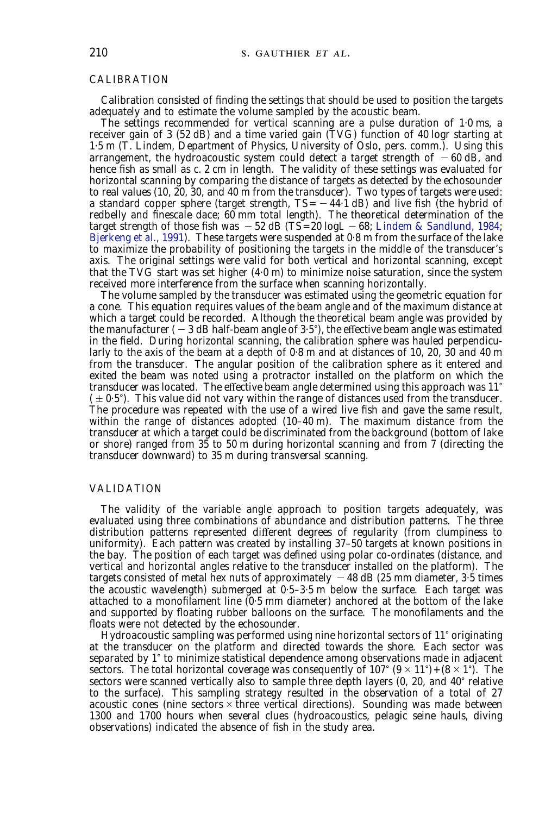### CALIBRATION

Calibration consisted of finding the settings that should be used to position the targets adequately and to estimate the volume sampled by the acoustic beam.

The settings recommended for vertical scanning are a pulse duration of 1·0 ms, a receiver gain of 3 (52 dB) and a time varied gain (TVG) function of 40 log*r* starting at 1·5 m (T. Lindem, Department of Physics, University of Oslo, pers. comm.). Using this arrangement, the hydroacoustic system could detect a target strength of  $-60 \text{ dB}$ , and hence fish as small as  $c. 2$  cm in length. The validity of these settings was evaluated for horizontal scanning by comparing the distance of targets as detected by the echosounder to real values (10, 20, 30, and 40 m from the transducer). Two types of targets were used: a standard copper sphere (target strength,  $TS = -44.1$  dB) and live fish (the hybrid of redbelly and finescale dace; 60 mm total length). The theoretical determination of the target strength of those fish was  $-52$  dB (TS=20 log $L - 68$ ; [Lindem & Sandlund, 1984;](#page-12-14) [Bjerkeng](#page-11-3) *et al*., 1991). These targets were suspended at 0·8 m from the surface of the lake to maximize the probability of positioning the targets in the middle of the transducer's axis. The original settings were valid for both vertical and horizontal scanning, except that the TVG start was set higher (4·0 m) to minimize noise saturation, since the system received more interference from the surface when scanning horizontally.

The volume sampled by the transducer was estimated using the geometric equation for a cone. This equation requires values of the beam angle and of the maximum distance at which a target could be recorded. Although the theoretical beam angle was provided by the manufacturer  $(-3$  dB half-beam angle of  $3.5^{\circ}$ ), the effective beam angle was estimated in the field. During horizontal scanning, the calibration sphere was hauled perpendicularly to the axis of the beam at a depth of 0·8 m and at distances of 10, 20, 30 and 40 m from the transducer. The angular position of the calibration sphere as it entered and exited the beam was noted using a protractor installed on the platform on which the transducer was located. The effective beam angle determined using this approach was 11)  $(±0.5^{\circ})$ . This value did not vary within the range of distances used from the transducer. The procedure was repeated with the use of a wired live fish and gave the same result, within the range of distances adopted (10–40 m). The maximum distance from the transducer at which a target could be discriminated from the background (bottom of lake or shore) ranged from 35 to 50 m during horizontal scanning and from 7 (directing the transducer downward) to 35 m during transversal scanning.

#### VALIDATION

The validity of the variable angle approach to position targets adequately, was evaluated using three combinations of abundance and distribution patterns. The three distribution patterns represented different degrees of regularity (from clumpiness to uniformity). Each pattern was created by installing 37–50 targets at known positions in the bay. The position of each target was defined using polar co-ordinates (distance, and vertical and horizontal angles relative to the transducer installed on the platform). The targets consisted of metal hex nuts of approximately  $-48$  dB (25 mm diameter, 3.5 times the acoustic wavelength) submerged at 0·5–3·5 m below the surface. Each target was attached to a monofilament line (0·5 mm diameter) anchored at the bottom of the lake and supported by floating rubber balloons on the surface. The monofilaments and the floats were not detected by the echosounder.

Hydroacoustic sampling was performed using nine horizontal sectors of 11° originating at the transducer on the platform and directed towards the shore. Each sector was separated by  $1^{\circ}$  to minimize statistical dependence among observations made in adjacent sectors. The total horizontal coverage was consequently of  $107^{\circ}$  ( $9 \times 11^{\circ}$ ) + ( $8 \times 1^{\circ}$ ). The sectors were scanned vertically also to sample three depth layers  $(0, 20, 20, 40)$ <sup>o</sup> relative to the surface). This sampling strategy resulted in the observation of a total of 27 acoustic cones (nine sectors  $\times$  three vertical directions). Sounding was made between 1300 and 1700 hours when several clues (hydroacoustics, pelagic seine hauls, diving observations) indicated the absence of fish in the study area.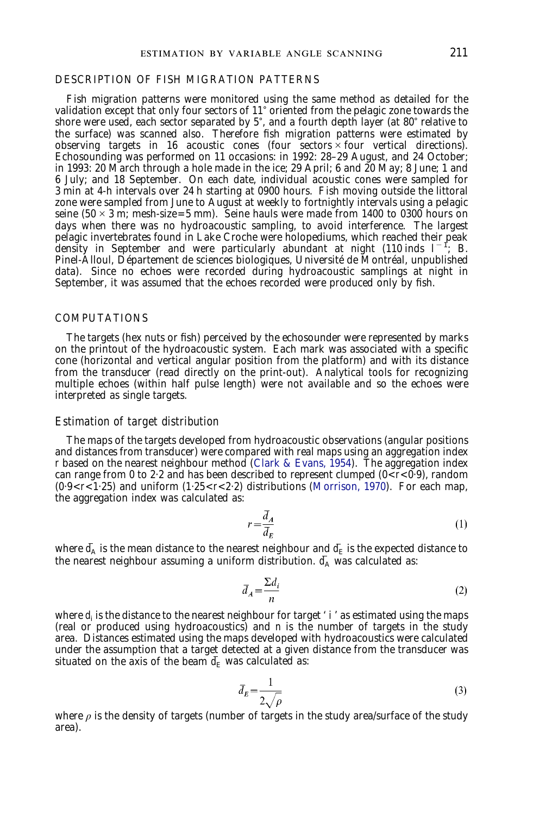### DESCRIPTION OF FISH MIGRATION PATTERNS

Fish migration patterns were monitored using the same method as detailed for the validation except that only four sectors of 11° oriented from the pelagic zone towards the shore were used, each sector separated by  $5^{\circ}$ , and a fourth depth layer (at 80 $^{\circ}$  relative to the surface) was scanned also. Therefore fish migration patterns were estimated by observing targets in 16 acoustic cones (four sectors  $\times$  four vertical directions). Echosounding was performed on 11 occasions: in 1992: 28–29 August, and 24 October; in 1993: 20 March through a hole made in the ice; 29 April; 6 and 20 May; 8 June; 1 and 6 July; and 18 September. On each date, individual acoustic cones were sampled for 3 min at 4-h intervals over 24 h starting at 0900 hours. Fish moving outside the littoral zone were sampled from June to August at weekly to fortnightly intervals using a pelagic seine ( $50 \times 3$  m; mesh-size=5 mm). Seine hauls were made from 1400 to 0300 hours on days when there was no hydroacoustic sampling, to avoid interference. The largest pelagic invertebrates found in Lake Croche were holopediums, which reached their peak density in September and were particularly abundant at night (110 inds  $1^{-1}$ ; B. Pinel-Alloul, Département de sciences biologiques, Université de Montréal, unpublished data). Since no echoes were recorded during hydroacoustic samplings at night in September, it was assumed that the echoes recorded were produced only by fish.

#### COMPUTATIONS

The targets (hex nuts or fish) perceived by the echosounder were represented by marks on the printout of the hydroacoustic system. Each mark was associated with a specific cone (horizontal and vertical angular position from the platform) and with its distance from the transducer (read directly on the print-out). Analytical tools for recognizing multiple echoes (within half pulse length) were not available and so the echoes were interpreted as single targets.

### *Estimation of target distribution*

The maps of the targets developed from hydroacoustic observations (angular positions and distances from transducer) were compared with real maps using an aggregation index *r* based on the nearest neighbour method [\(Clark & Evans, 1954\)](#page-11-4). The aggregation index can range from 0 to 2·2 and has been described to represent clumped (0<*r*<0·9), random  $(0.9 < r < 1.25)$  and uniform  $(1.25 < r < 2.2)$  distributions [\(Morrison, 1970\)](#page-12-15). For each map, the aggregation index was calculated as:

$$
r = \frac{\bar{d}_A}{\bar{d}_F} \tag{1}
$$

where  $\bar{d}_A$  is the mean distance to the nearest neighbour and  $\bar{d}_E$  is the expected distance to the nearest neighbour assuming a uniform distribution.  $\overline{d}_4$  was calculated as:

$$
\bar{d}_A = \frac{\sum d_i}{n} \tag{2}
$$

where  $d_i$  is the distance to the nearest neighbour for target '  $i'$  as estimated using the maps (real or produced using hydroacoustics) and *n* is the number of targets in the study area. Distances estimated using the maps developed with hydroacoustics were calculated under the assumption that a target detected at a given distance from the transducer was situated on the axis of the beam  $\bar{d}_E$  was calculated as:

$$
\bar{d}_E = \frac{1}{2\sqrt{\rho}}\tag{3}
$$

where  $\rho$  is the density of targets (number of targets in the study area/surface of the study area).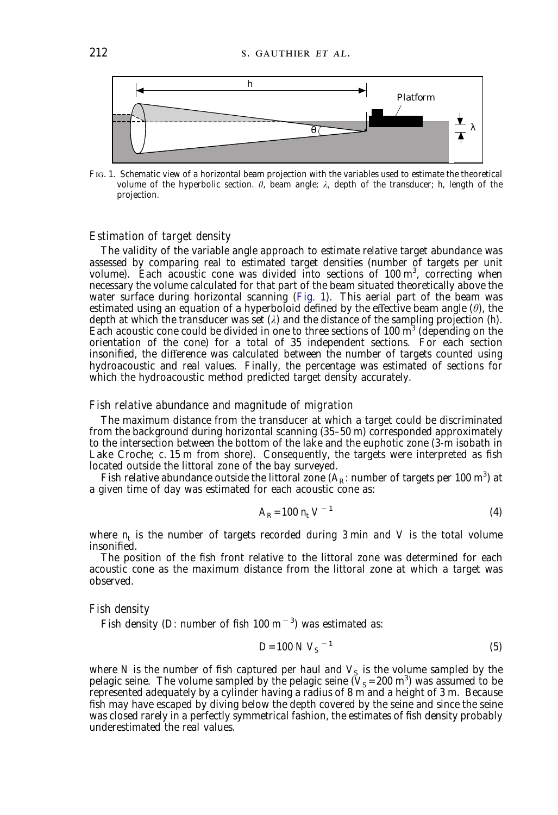

<span id="page-4-0"></span>FIG. 1. Schematic view of a horizontal beam projection with the variables used to estimate the theoretical volume of the hyperbolic section.  $\theta$ , beam angle;  $\lambda$ , depth of the transducer; *h*, length of the projection.

### *Estimation of target density*

The validity of the variable angle approach to estimate relative target abundance was assessed by comparing real to estimated target densities (number of targets per unit volume). Each acoustic cone was divided into sections of 100 m<sup>3</sup>, correcting when necessary the volume calculated for that part of the beam situated theoretically above the water surface during horizontal scanning [\(Fig. 1\)](#page-4-0). This aerial part of the beam was estimated using an equation of a hyperboloid defined by the effective beam angle (*è*), the depth at which the transducer was set (*ë*) and the distance of the sampling projection (*h*). Each acoustic cone could be divided in one to three sections of  $100 \text{ m}^3$  (depending on the orientation of the cone) for a total of 35 independent sections. For each section insonified, the difference was calculated between the number of targets counted using hydroacoustic and real values. Finally, the percentage was estimated of sections for which the hydroacoustic method predicted target density accurately.

# *Fish relative abundance and magnitude of migration*

The maximum distance from the transducer at which a target could be discriminated from the background during horizontal scanning (35–50 m) corresponded approximately to the intersection between the bottom of the lake and the euphotic zone (3-m isobath in Lake Croche; *c*. 15 m from shore). Consequently, the targets were interpreted as fish located outside the littoral zone of the bay surveyed.

Fish relative abundance outside the littoral zone  $(A_{R}$ : number of targets per 100 m<sup>3</sup>) at a given time of day was estimated for each acoustic cone as:

$$
A_R = 100 \; n_t \; V^{-1} \tag{4}
$$

where  $n<sub>r</sub>$  is the number of targets recorded during 3 min and *V* is the total volume insonified.

The position of the fish front relative to the littoral zone was determined for each acoustic cone as the maximum distance from the littoral zone at which a target was observed.

#### *Fish density*

Fish density (*D*: number of fish  $100 \text{ m}^{-3}$ ) was estimated as:

$$
D=100 N V_S^{-1}
$$
 (5)

where *N* is the number of fish captured per haul and  $V<sub>S</sub>$  is the volume sampled by the pelagic seine. The volume sampled by the pelagic seine  $(V_S=200 \text{ m}^3)$  was assumed to be represented adequately by a cylinder having a radius of 8 m and a height of 3 m. Because fish may have escaped by diving below the depth covered by the seine and since the seine was closed rarely in a perfectly symmetrical fashion, the estimates of fish density probably underestimated the real values.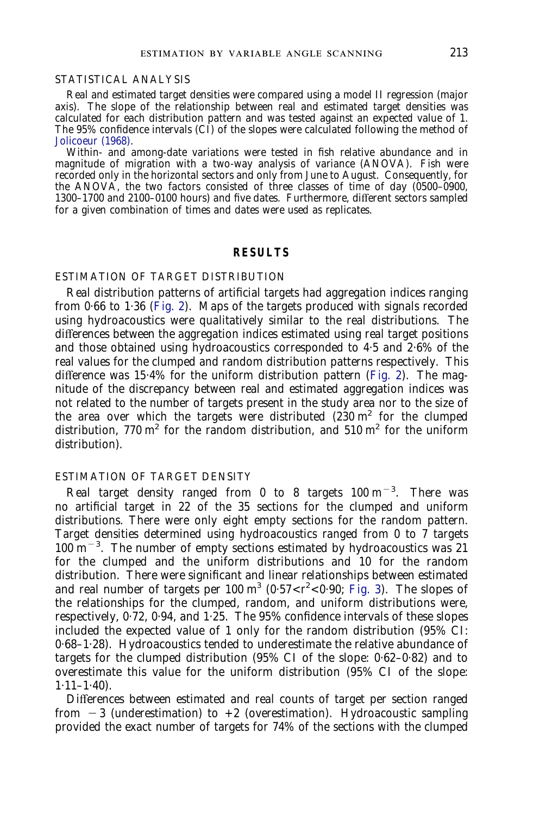### STATISTICAL ANALYSIS

Real and estimated target densities were compared using a model II regression (major axis). The slope of the relationship between real and estimated target densities was calculated for each distribution pattern and was tested against an expected value of 1. The 95% confidence intervals (CI) of the slopes were calculated following the method of [Jolicoeur \(1968\).](#page-12-16)

Within- and among-date variations were tested in fish relative abundance and in magnitude of migration with a two-way analysis of variance (ANOVA). Fish were recorded only in the horizontal sectors and only from June to August. Consequently, for the ANOVA, the two factors consisted of three classes of time of day (0500–0900, 1300–1700 and 2100–0100 hours) and five dates. Furthermore, different sectors sampled for a given combination of times and dates were used as replicates.

### **RESULTS**

# ESTIMATION OF TARGET DISTRIBUTION

Real distribution patterns of artificial targets had aggregation indices ranging from 0·66 to 1·36 [\(Fig. 2\)](#page-6-0). Maps of the targets produced with signals recorded using hydroacoustics were qualitatively similar to the real distributions. The differences between the aggregation indices estimated using real target positions and those obtained using hydroacoustics corresponded to 4·5 and 2·6% of the real values for the clumped and random distribution patterns respectively. This difference was 15·4% for the uniform distribution pattern [\(Fig. 2\)](#page-6-0). The magnitude of the discrepancy between real and estimated aggregation indices was not related to the number of targets present in the study area nor to the size of the area over which the targets were distributed  $(230 \text{ m}^2 \text{ for the clumped})$ distribution,  $770 \text{ m}^2$  for the random distribution, and  $510 \text{ m}^2$  for the uniform distribution).

### ESTIMATION OF TARGET DENSITY

Real target density ranged from 0 to 8 targets  $100 \text{ m}^{-3}$ . There was no artificial target in 22 of the 35 sections for the clumped and uniform distributions. There were only eight empty sections for the random pattern. Target densities determined using hydroacoustics ranged from 0 to 7 targets  $100 \text{ m}^{-3}$ . The number of empty sections estimated by hydroacoustics was 21 for the clumped and the uniform distributions and 10 for the random distribution. There were significant and linear relationships between estimated and real number of targets per  $100 \text{ m}^3$  ( $0.57 < t^2 < 0.90$ ; [Fig. 3\)](#page-7-0). The slopes of the relationships for the clumped, random, and uniform distributions were, respectively, 0·72, 0·94, and 1·25. The 95% confidence intervals of these slopes included the expected value of 1 only for the random distribution (95% CI: 0·68–1·28). Hydroacoustics tended to underestimate the relative abundance of targets for the clumped distribution (95% CI of the slope: 0·62–0·82) and to overestimate this value for the uniform distribution (95% CI of the slope:  $1.11 - 1.40$ ).

Differences between estimated and real counts of target per section ranged from  $-3$  (underestimation) to  $+2$  (overestimation). Hydroacoustic sampling provided the exact number of targets for 74% of the sections with the clumped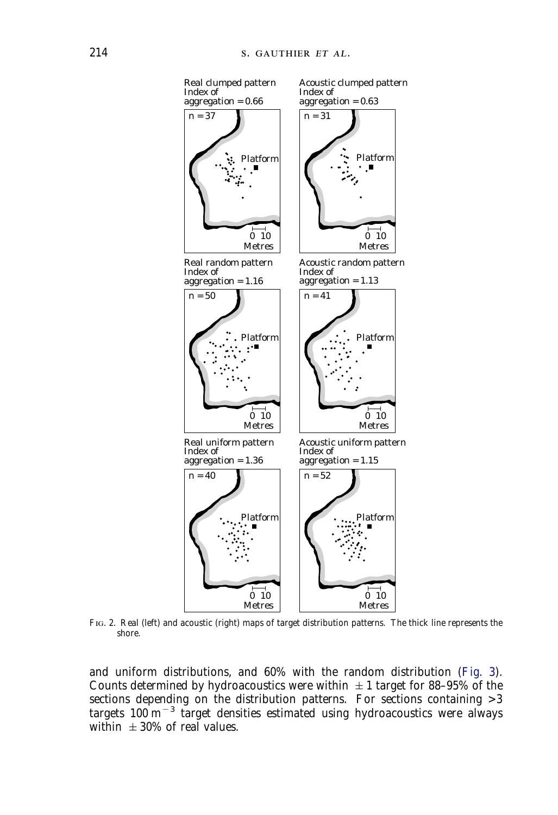

<span id="page-6-0"></span>FIG. 2. Real (left) and acoustic (right) maps of target distribution patterns. The thick line represents the shore.

and uniform distributions, and 60% with the random distribution [\(Fig. 3\)](#page-7-1). Counts determined by hydroacoustics were within  $\pm 1$  target for 88-95% of the sections depending on the distribution patterns. For sections containing >3 targets  $100 \text{ m}^{-3}$  target densities estimated using hydroacoustics were always within  $\pm 30\%$  of real values.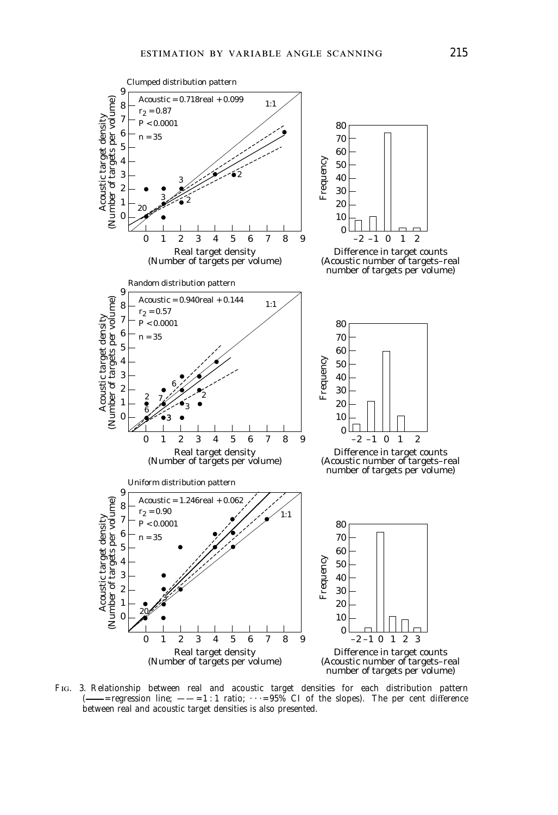

<span id="page-7-1"></span><span id="page-7-0"></span>F. 3. Relationship between real and acoustic target densities for each distribution pattern  $r =$  -=regression line;  $-\frac{-1}{1}$  atio;  $\cdots = 95\%$  CI of the slopes). The per cent difference between real and acoustic target densities is also presented.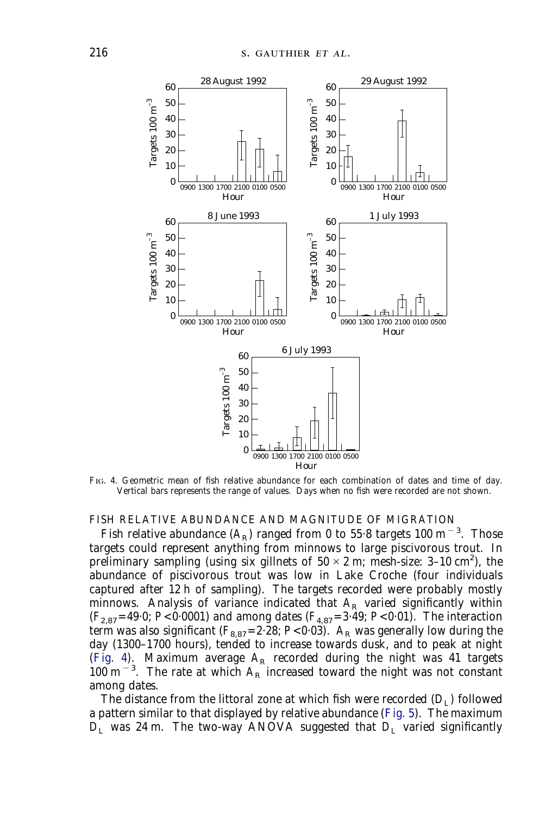

<span id="page-8-0"></span>FIG. 4. Geometric mean of fish relative abundance for each combination of dates and time of day. Vertical bars represents the range of values. Days when no fish were recorded are not shown.

### FISH RELATIVE ABUNDANCE AND MAGNITUDE OF MIGRATION

Fish relative abundance  $(A_R)$  ranged from 0 to 55 $\cdot$ 8 targets 100 m $^{-3}$ . Those targets could represent anything from minnows to large piscivorous trout. In preliminary sampling (using six gillnets of  $50 \times 2$  m; mesh-size: 3–10 cm<sup>2</sup>), the abundance of piscivorous trout was low in Lake Croche (four individuals captured after 12 h of sampling). The targets recorded were probably mostly minnows. Analysis of variance indicated that  $A_R$  varied significantly within  $(F_{2,87}=49.0; P<0.0001)$  and among dates  $(F_{4,87}=3.49; P<0.01)$ . The interaction term was also significant  $(F_{8,87}=2.28; P<0.03)$ .  $A_R$  was generally low during the day (1300–1700 hours), tended to increase towards dusk, and to peak at night [\(Fig. 4\)](#page-8-0). Maximum average  $A_R$  recorded during the night was 41 targets  $100 \text{ m}^{-3}$ . The rate at which  $A_R$  increased toward the night was not constant among dates.

The distance from the littoral zone at which fish were recorded  $(D<sub>I</sub>)$  followed a pattern similar to that displayed by relative abundance [\(Fig. 5\)](#page-9-0). The maximum  $D_L$  was 24 m. The two-way ANOVA suggested that  $D_L$  varied significantly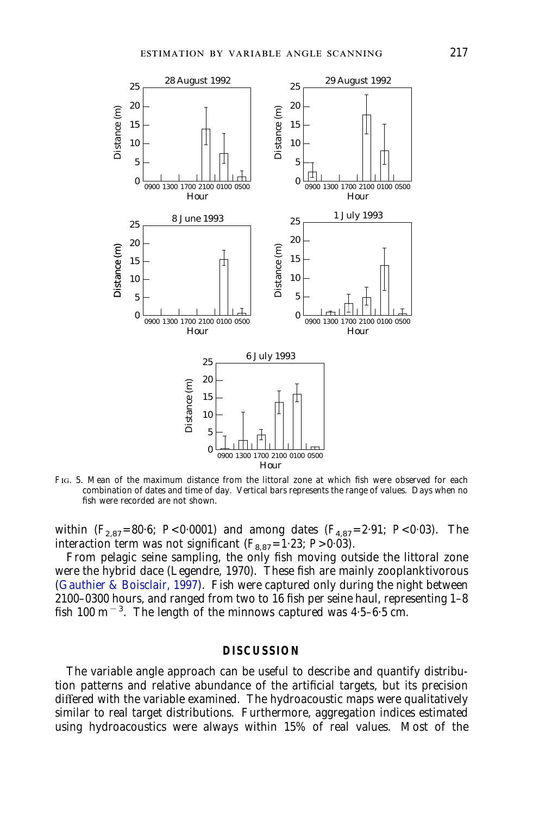

<span id="page-9-0"></span>FIG. 5. Mean of the maximum distance from the littoral zone at which fish were observed for each combination of dates and time of day. Vertical bars represents the range of values. Days when no fish were recorded are not shown.

within  $(F_{2.87} = 80.6; P < 0.0001)$  and among dates  $(F_{4.87} = 2.91; P < 0.03)$ . The interaction term was not significant  $(F_{8.87}=1.23; P>0.03)$ .

From pelagic seine sampling, the only fish moving outside the littoral zone were the hybrid dace (Legendre, 1970). These fish are mainly zooplanktivorous [\(Gauthier & Boisclair, 1997](#page-12-17)). Fish were captured only during the night between 2100–0300 hours, and ranged from two to 16 fish per seine haul, representing 1–8 fish 100 m<sup> $-3$ </sup>. The length of the minnows captured was 4.5–6.5 cm.

### **DISCUSSION**

The variable angle approach can be useful to describe and quantify distribution patterns and relative abundance of the artificial targets, but its precision differed with the variable examined. The hydroacoustic maps were qualitatively similar to real target distributions. Furthermore, aggregation indices estimated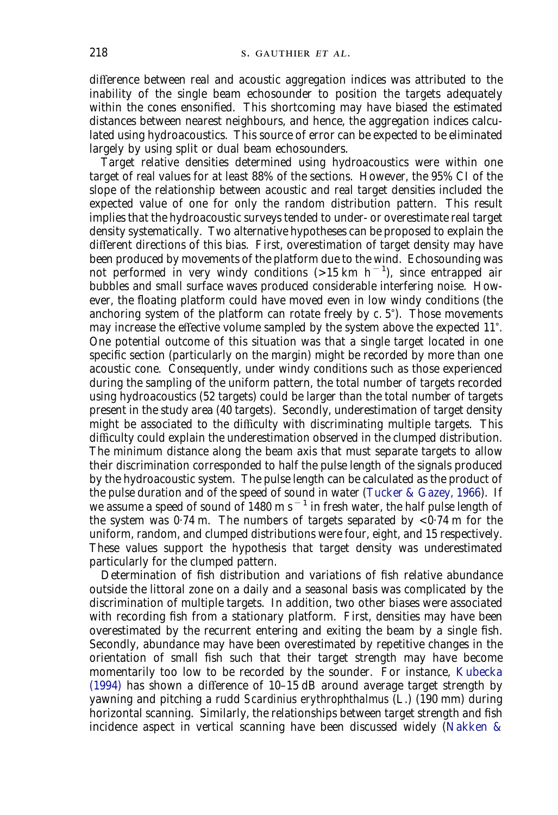difference between real and acoustic aggregation indices was attributed to the inability of the single beam echosounder to position the targets adequately within the cones ensonified. This shortcoming may have biased the estimated distances between nearest neighbours, and hence, the aggregation indices calculated using hydroacoustics. This source of error can be expected to be eliminated largely by using split or dual beam echosounders.

Target relative densities determined using hydroacoustics were within one target of real values for at least 88% of the sections. However, the 95% CI of the slope of the relationship between acoustic and real target densities included the expected value of one for only the random distribution pattern. This result implies that the hydroacoustic surveys tended to under- or overestimate real target density systematically. Two alternative hypotheses can be proposed to explain the different directions of this bias. First, overestimation of target density may have been produced by movements of the platform due to the wind. Echosounding was not performed in very windy conditions  $($ >15 km h<sup>-1</sup>), since entrapped air bubbles and small surface waves produced considerable interfering noise. However, the floating platform could have moved even in low windy conditions (the anchoring system of the platform can rotate freely by  $c$ . 5°). Those movements may increase the effective volume sampled by the system above the expected 11). One potential outcome of this situation was that a single target located in one specific section (particularly on the margin) might be recorded by more than one acoustic cone. Consequently, under windy conditions such as those experienced during the sampling of the uniform pattern, the total number of targets recorded using hydroacoustics (52 targets) could be larger than the total number of targets present in the study area (40 targets). Secondly, underestimation of target density might be associated to the difficulty with discriminating multiple targets. This difficulty could explain the underestimation observed in the clumped distribution. The minimum distance along the beam axis that must separate targets to allow their discrimination corresponded to half the pulse length of the signals produced by the hydroacoustic system. The pulse length can be calculated as the product of the pulse duration and of the speed of sound in water [\(Tucker & Gazey, 1966\)](#page-13-5). If we assume a speed of sound of 1480 m s<sup> $-1$ </sup> in fresh water, the half pulse length of the system was  $0.74$  m. The numbers of targets separated by  $\lt 0.74$  m for the uniform, random, and clumped distributions were four, eight, and 15 respectively. These values support the hypothesis that target density was underestimated particularly for the clumped pattern.

Determination of fish distribution and variations of fish relative abundance outside the littoral zone on a daily and a seasonal basis was complicated by the discrimination of multiple targets. In addition, two other biases were associated with recording fish from a stationary platform. First, densities may have been overestimated by the recurrent entering and exiting the beam by a single fish. Secondly, abundance may have been overestimated by repetitive changes in the orientation of small fish such that their target strength may have become momentarily too low to be recorded by the sounder. For instance, [Kubecka](#page-12-18) [\(1994\)](#page-12-18) has shown a difference of 10–15 dB around average target strength by yawning and pitching a rudd *Scardinius erythrophthalmus* (L.) (190 mm) during horizontal scanning. Similarly, the relationships between target strength and fish incidence aspect in vertical scanning have been discussed widely [\(Nakken &](#page-13-6)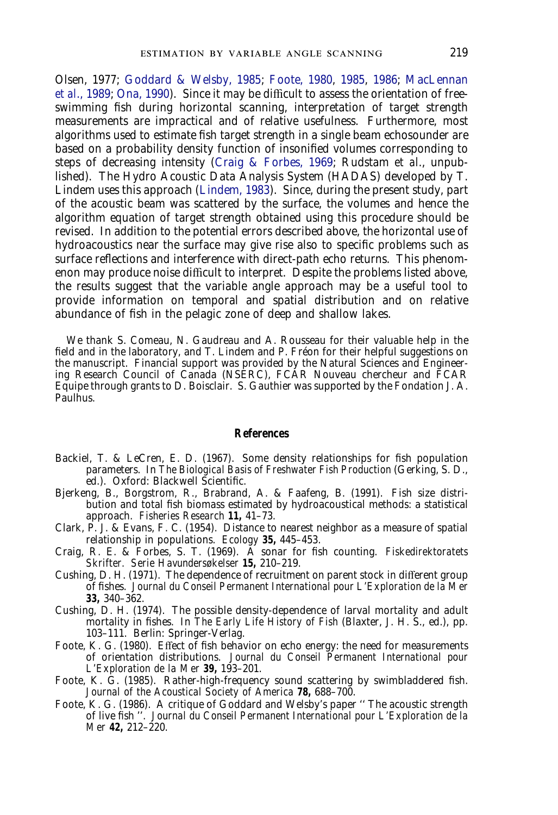[Olsen, 1977;](#page-13-6) [Goddard & Welsby, 1985;](#page-12-19) [Foote, 1980,](#page-11-5) [1985,](#page-11-6) [1986;](#page-11-7) [MacLennan](#page-12-20) *[et al](#page-12-20)*[., 1989;](#page-12-20) [Ona, 1990\)](#page-13-7). Since it may be difficult to assess the orientation of freeswimming fish during horizontal scanning, interpretation of target strength measurements are impractical and of relative usefulness. Furthermore, most algorithms used to estimate fish target strength in a single beam echosounder are based on a probability density function of insonified volumes corresponding to steps of decreasing intensity [\(Craig & Forbes, 1969;](#page-11-8) Rudstam *et al*., unpublished). The Hydro Acoustic Data Analysis System (HADAS) developed by T. Lindem uses this approach [\(Lindem, 1983\)](#page-12-21). Since, during the present study, part of the acoustic beam was scattered by the surface, the volumes and hence the algorithm equation of target strength obtained using this procedure should be revised. In addition to the potential errors described above, the horizontal use of hydroacoustics near the surface may give rise also to specific problems such as surface reflections and interference with direct-path echo returns. This phenomenon may produce noise difficult to interpret. Despite the problems listed above, the results suggest that the variable angle approach may be a useful tool to provide information on temporal and spatial distribution and on relative abundance of fish in the pelagic zone of deep and shallow lakes.

We thank S. Comeau, N. Gaudreau and A. Rousseau for their valuable help in the field and in the laboratory, and T. Lindem and P. Fréon for their helpful suggestions on the manuscript. Financial support was provided by the Natural Sciences and Engineering Research Council of Canada (NSERC), FCAR Nouveau chercheur and FCAR Equipe through grants to D. Boisclair. S. Gauthier was supported by the Fondation J. A. Paulhus.

### **References**

- <span id="page-11-0"></span>Backiel, T. & LeCren, E. D. (1967). Some density relationships for fish population parameters. In *The Biological Basis of Freshwater Fish Production* (Gerking, S. D., ed.). Oxford: Blackwell Scientific.
- <span id="page-11-3"></span>Bjerkeng, B., Borgstrom, R., Brabrand, A. & Faafeng, B. (1991). Fish size distribution and total fish biomass estimated by hydroacoustical methods: a statistical approach. *Fisheries Research* **11,** 41–73.
- <span id="page-11-4"></span>Clark, P. J. & Evans, F. C. (1954). Distance to nearest neighbor as a measure of spatial relationship in populations. *Ecology* **35,** 445–453.
- <span id="page-11-8"></span>Craig, R. E. & Forbes, S. T. (1969). A sonar for fish counting. *Fiskedirektoratets Skrifter. Serie Havundersøkelser* **15,** 210–219.
- <span id="page-11-1"></span>Cushing, D. H. (1971). The dependence of recruitment on parent stock in different group of fishes. *Journal du Conseil Permanent International pour L'Exploration de la Mer* **33,** 340–362.
- <span id="page-11-2"></span>Cushing, D. H. (1974). The possible density-dependence of larval mortality and adult mortality in fishes. In *The Early Life History of Fish* (Blaxter, J. H. S., ed.), pp. 103–111. Berlin: Springer-Verlag.
- <span id="page-11-5"></span>Foote, K. G. (1980). Effect of fish behavior on echo energy: the need for measurements of orientation distributions. *Journal du Conseil Permanent International pour L'Exploration de la Mer* **39,** 193–201.
- <span id="page-11-6"></span>Foote, K. G. (1985). Rather-high-frequency sound scattering by swimbladdered fish. *Journal of the Acoustical Society of America* **78,** 688–700.
- <span id="page-11-7"></span>Foote, K. G. (1986). A critique of Goddard and Welsby's paper '' The acoustic strength of live fish ''. *Journal du Conseil Permanent International pour L'Exploration de la Mer* **42,** 212–220.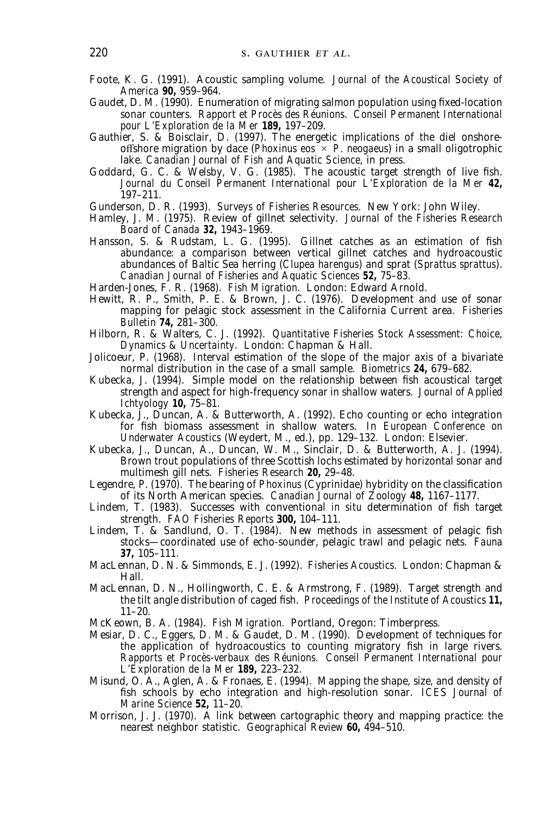- <span id="page-12-7"></span>Foote, K. G. (1991). Acoustic sampling volume. *Journal of the Acoustical Society of America* **90,** 959–964.
- <span id="page-12-12"></span>Gaudet, D. M. (1990). Enumeration of migrating salmon population using fixed-location sonar counters. *Rapport et Procès des Réunions. Conseil Permanent International pour L'Exploration de la Mer* **189,** 197–209.
- <span id="page-12-17"></span>Gauthier, S. & Boisclair, D. (1997). The energetic implications of the diel onshoreoffshore migration by dace (*Phoxinus eos*  $\times$  *P. neogaeus*) in a small oligotrophic lake. *Canadian Journal of Fish and Aquatic Science,* in press.
- <span id="page-12-19"></span>Goddard, G. C. & Welsby, V. G. (1985). The acoustic target strength of live fish. *Journal du Conseil Permanent International pour L'Exploration de la Mer* **42,** 197–211.
- <span id="page-12-4"></span>Gunderson, D. R. (1993). *Surveys of Fisheries Resources.* New York: John Wiley.
- <span id="page-12-2"></span>Hamley, J. M. (1975). Review of gillnet selectivity. *Journal of the Fisheries Research Board of Canada* **32,** 1943–1969.
- <span id="page-12-3"></span>Hansson, S. & Rudstam, L. G. (1995). Gillnet catches as an estimation of fish abundance: a comparison between vertical gillnet catches and hydroacoustic abundances of Baltic Sea herring (*Clupea harengus*) and sprat (*Sprattus sprattus*). *Canadian Journal of Fisheries and Aquatic Sciences* **52,** 75–83.
- <span id="page-12-0"></span>Harden-Jones, F. R. (1968). *Fish Migration.* London: Edward Arnold.
- <span id="page-12-8"></span>Hewitt, R. P., Smith, P. E. & Brown, J. C. (1976). Development and use of sonar mapping for pelagic stock assessment in the California Current area. *Fisheries Bulletin* **74,** 281–300.
- <span id="page-12-5"></span>Hilborn, R. & Walters, C. J. (1992). *Quantitative Fisheries Stock Assessment: Choice, Dynamics & Uncertainty.* London: Chapman & Hall.
- <span id="page-12-16"></span>Jolicoeur, P. (1968). Interval estimation of the slope of the major axis of a bivariate normal distribution in the case of a small sample. *Biometrics* **24,** 679–682.
- <span id="page-12-18"></span>Kubecka, J. (1994). Simple model on the relationship between fish acoustical target strength and aspect for high-frequency sonar in shallow waters. *Journal of Applied Ichtyology* **10,** 75–81.
- <span id="page-12-10"></span>Kubecka, J., Duncan, A. & Butterworth, A. (1992). Echo counting or echo integration for fish biomass assessment in shallow waters. In *European Conference on Underwater Acoustics* (Weydert, M., ed.), pp. 129–132. London: Elsevier.
- <span id="page-12-11"></span>Kubecka, J., Duncan, A., Duncan, W. M., Sinclair, D. & Butterworth, A. J. (1994). Brown trout populations of three Scottish lochs estimated by horizontal sonar and multimesh gill nets. *Fisheries Research* **20,** 29–48.
- Legendre, P. (1970). The bearing of *Phoxinus* (Cyprinidae) hybridity on the classification of its North American species. *Canadian Journal of Zoology* **48,** 1167–1177.
- <span id="page-12-21"></span>Lindem, T. (1983). Successes with conventional *in situ* determination of fish target strength. *FAO Fisheries Reports* **300,** 104–111.
- <span id="page-12-14"></span>Lindem, T. & Sandlund, O. T. (1984). New methods in assessment of pelagic fish stocks—coordinated use of echo-sounder, pelagic trawl and pelagic nets. *Fauna* **37,** 105–111.
- <span id="page-12-6"></span>MacLennan, D. N. & Simmonds, E. J. (1992). *Fisheries Acoustics.* London: Chapman & Hall.
- <span id="page-12-20"></span>MacLennan, D. N., Hollingworth, C. E. & Armstrong, F. (1989). Target strength and the tilt angle distribution of caged fish. *Proceedings of the Institute of Acoustics* **11,** 11–20.
- <span id="page-12-1"></span>McKeown, B. A. (1984). *Fish Migration.* Portland, Oregon: Timberpress.
- <span id="page-12-13"></span>Mesiar, D. C., Eggers, D. M. & Gaudet, D. M. (1990). Development of techniques for the application of hydroacoustics to counting migratory fish in large rivers. *Rapports et Procès-verbaux des Réunions. Conseil Permanent International pour L'Exploration de la Mer* **189,** 223–232.
- <span id="page-12-9"></span>Misund, O. A., Aglen, A. & Fronaes, E. (1994). Mapping the shape, size, and density of fish schools by echo integration and high-resolution sonar. *ICES Journal of Marine Science* **52,** 11–20.
- <span id="page-12-15"></span>Morrison, J. J. (1970). A link between cartographic theory and mapping practice: the nearest neighbor statistic. *Geographical Review* **60,** 494–510.